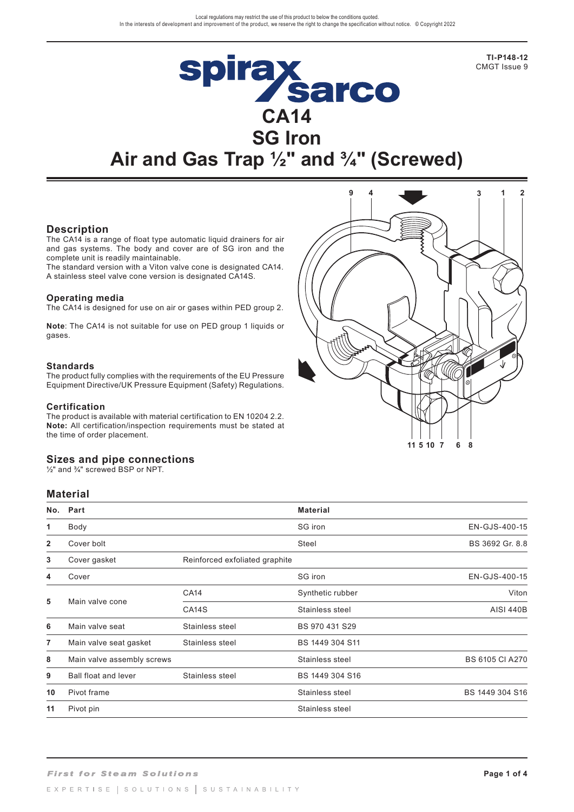**TI-P148-12**  CMGT Issue 9

# **Spirax<br>CA14 SG Iron Air and Gas Trap ½" and ¾" (Screwed)**

## **Description**

The CA14 is a range of float type automatic liquid drainers for air and gas systems. The body and cover are of SG iron and the complete unit is readily maintainable.

The standard version with a Viton valve cone is designated CA14. A stainless steel valve cone version is designated CA14S.

#### **Operating media**

The CA14 is designed for use on air or gases within PED group 2.

**Note**: The CA14 is not suitable for use on PED group 1 liquids or gases.

#### **Standards**

The product fully complies with the requirements of the EU Pressure Equipment Directive/UK Pressure Equipment (Safety) Regulations.

#### **Certification**

The product is available with material certification to EN 10204 2.2. **Note:** All certification/inspection requirements must be stated at the time of order placement.

#### **Sizes and pipe connections**

½" and ¾" screwed BSP or NPT.

## **Material**

| No.            | Part                        |                                | <b>Material</b>  |                        |
|----------------|-----------------------------|--------------------------------|------------------|------------------------|
| 1              | Body                        |                                | SG iron          | EN-GJS-400-15          |
| $\mathbf{2}$   | Cover bolt                  |                                | Steel            | BS 3692 Gr. 8.8        |
| 3              | Cover gasket                | Reinforced exfoliated graphite |                  |                        |
| 4              | Cover                       |                                | SG iron          | EN-GJS-400-15          |
| 5              | Main valve cone             | <b>CA14</b>                    | Synthetic rubber | Viton                  |
|                |                             | CA <sub>14</sub> S             | Stainless steel  | <b>AISI 440B</b>       |
| 6              | Main valve seat             | Stainless steel                | BS 970 431 S29   |                        |
| $\overline{7}$ | Main valve seat gasket      | Stainless steel                | BS 1449 304 S11  |                        |
| 8              | Main valve assembly screws  |                                | Stainless steel  | <b>BS 6105 CI A270</b> |
| 9              | <b>Ball float and lever</b> | Stainless steel                | BS 1449 304 S16  |                        |
| 10             | Pivot frame                 |                                | Stainless steel  | BS 1449 304 S16        |
| 11             | Pivot pin                   |                                | Stainless steel  |                        |

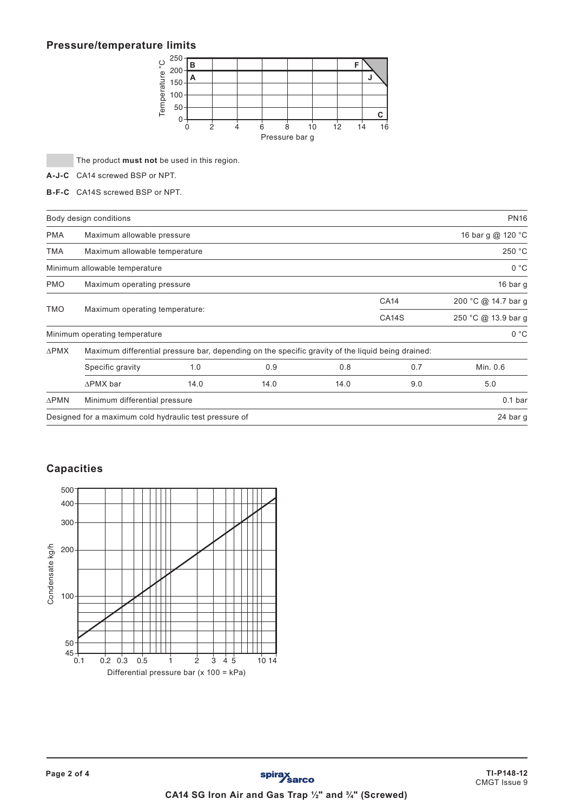# **Pressure/temperature limits**



The product **must not** be used in this region.

**A-J-C** CA14 screwed BSP or NPT.

**B-F-C** CA14S screwed BSP or NPT.

|                 | Body design conditions                                                                            |      |                    |                     |     | <b>PN16</b>        |  |
|-----------------|---------------------------------------------------------------------------------------------------|------|--------------------|---------------------|-----|--------------------|--|
| <b>PMA</b>      | Maximum allowable pressure                                                                        |      |                    |                     |     | 16 bar g @ 120 °C  |  |
| <b>TMA</b>      | Maximum allowable temperature                                                                     |      |                    |                     |     | 250 °C             |  |
|                 | Minimum allowable temperature                                                                     |      |                    |                     |     | 0 °C               |  |
| <b>PMO</b>      | Maximum operating pressure                                                                        |      |                    |                     |     | 16 bar g           |  |
|                 |                                                                                                   |      | <b>CA14</b>        | 200 °C @ 14.7 bar g |     |                    |  |
| <b>TMO</b>      | Maximum operating temperature:                                                                    |      | CA <sub>14</sub> S | 250 °C @ 13.9 bar g |     |                    |  |
|                 | Minimum operating temperature                                                                     |      |                    |                     |     | 0 °C               |  |
| <b>APMX</b>     | Maximum differential pressure bar, depending on the specific gravity of the liquid being drained: |      |                    |                     |     |                    |  |
|                 | Specific gravity                                                                                  | 1.0  | 0.9                | 0.8                 | 0.7 | Min. 0.6           |  |
|                 | $\triangle$ PMX bar                                                                               | 14.0 | 14.0               | 14.0                | 9.0 | 5.0                |  |
| $\triangle$ PMN | Minimum differential pressure                                                                     |      |                    |                     |     | 0.1 <sub>bar</sub> |  |
|                 | Designed for a maximum cold hydraulic test pressure of                                            |      |                    |                     |     | 24 bar g           |  |

## **Capacities**

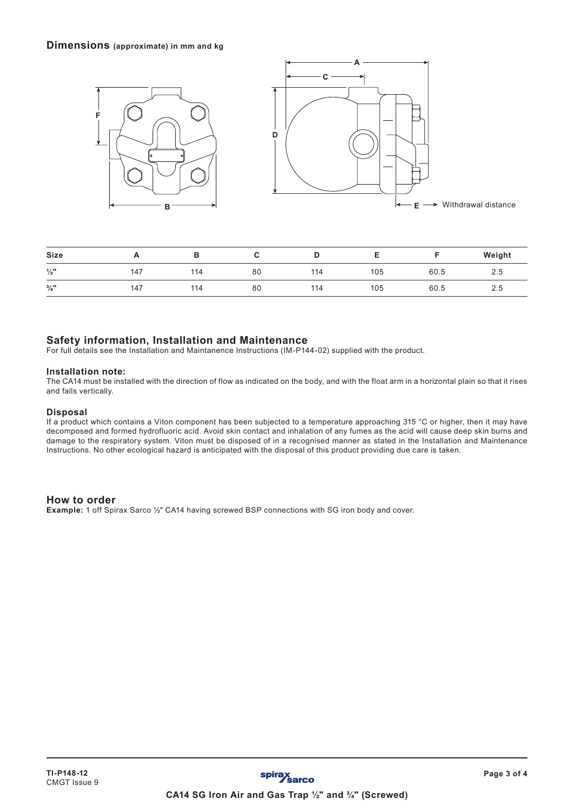## **Dimensions (approximate) in mm and kg**



| <b>Size</b>     | <u>_</u> |     |    | u   |     |      | Weight        |
|-----------------|----------|-----|----|-----|-----|------|---------------|
| $\frac{1}{2}$ " | 147      | 114 | 80 | 114 | 105 | 60.5 | 2.5           |
| $\frac{3}{4}$ " | 147      | 114 | 80 | 114 | 105 | 60.5 | $\sim$<br>2.5 |

## **Safety information, Installation and Maintenance**

For full details see the Installation and Maintanence Instructions (IM-P144-02) supplied with the product.

#### **Installation note:**

The CA14 must be installed with the direction of flow as indicated on the body, and with the float arm in a horizontal plain so that it rises and falls vertically.

#### **Disposal**

If a product which contains a Viton component has been subjected to a temperature approaching 315 °C or higher, then it may have decomposed and formed hydrofluoric acid. Avoid skin contact and inhalation of any fumes as the acid will cause deep skin burns and damage to the respiratory system. Viton must be disposed of in a recognised manner as stated in the Installation and Maintenance Instructions. No other ecological hazard is anticipated with the disposal of this product providing due care is taken.

## **How to order**

**Example:** 1 off Spirax Sarco ½" CA14 having screwed BSP connections with SG iron body and cover.